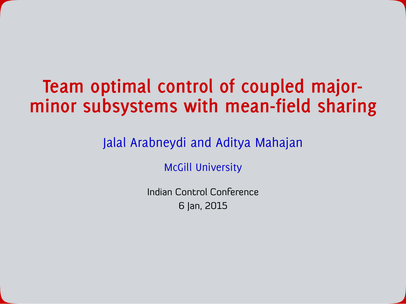# **Team optimal control of coupled majorminor subsystems with mean-field sharing**

### Jalal Arabneydi and Aditya Mahajan

McGill University

Indian Control Conference 6 Jan, 2015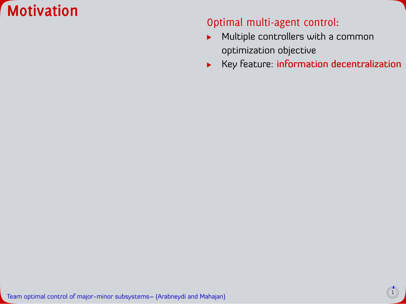



- Multiple controllers with a common  $\blacktriangleright$ optimization objective
- Key feature: information decentralization $\blacktriangleright$

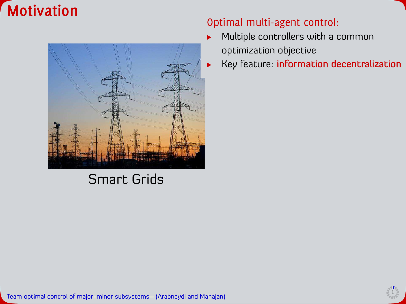



### Smart Grids

#### Optimal multi-agent control:

- Multiple controllers with a common ь optimization objective
	- Key feature: information decentralization

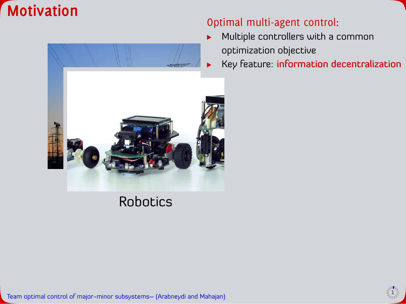



- Multiple controllers with a common ь optimization objective
	- Key feature: information decentralization

### Robotics

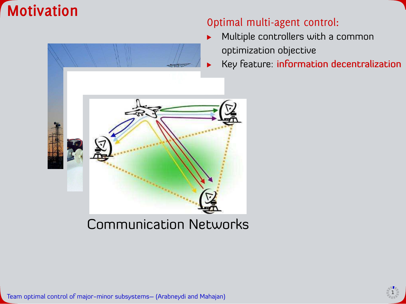



- Multiple controllers with a common ь optimization objective
	- Key feature: information decentralization

### Communication Networks

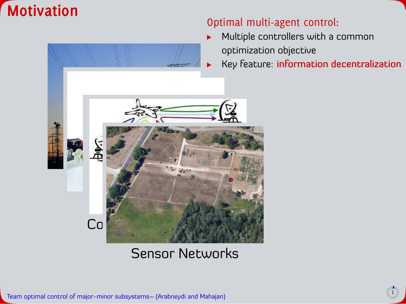



- Multiple controllers with a common ь optimization objective
	- Key feature: information decentralization



### Sensor Networks

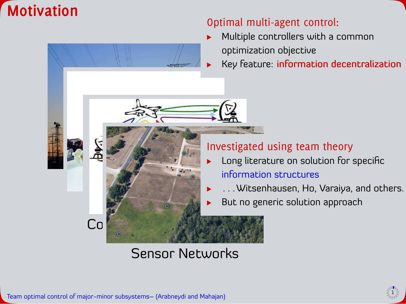



- Multiple controllers with a common optimization objective
	- Key feature: information decentralization

#### Investigated using team theory

- Long literature on solution for specific ▶ information structures
	- . . . Witsenhausen, Ho, Varaiya, and others.
	- But no generic solution approach

### Sensor Networks

▶ ▶

Communication Networks

**Simulation** 

Robotics

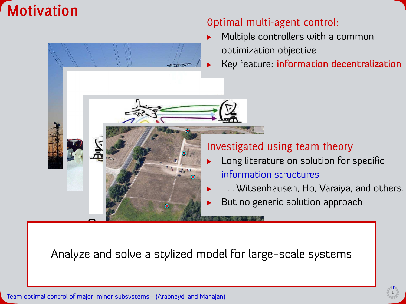



- Multiple controllers with a common optimization objective
	- Key feature: information decentralization

#### Investigated using team theory

- Long literature on solution for specific information structures
- . . . Witsenhausen, Ho, Varaiya, and others.
- But no generic solution approach ь

Analyze and solve a stylized model for large-scale systems

ь



**Simulation** 

Robotics

<u>communication Networks (1989)</u><br>Communication Networks (1989)<br>Communication Networks (1989)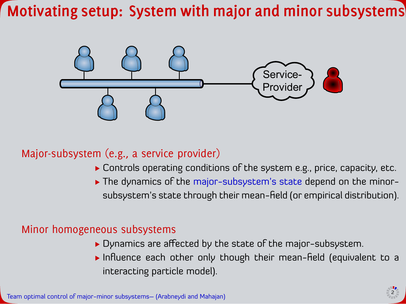# **Motivating setup: System with major and minor subsystems**



### Major-subsystem (e.g., a service provider)

- Controls operating conditions of the system e.g., price, capacity, etc.
- The dynamics of the major-subsystem's state depend on the minorsubsystem's state through their mean-field (or empirical distribution).

#### Minor homogeneous subsystems

- Dynamics are afected by the state of the major-subsystem.
- $\triangleright$  Influence each other only though their mean-field (equivalent to a interacting particle model).

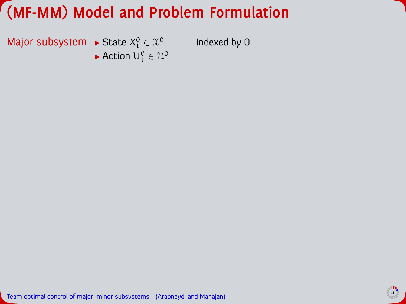Major subsystem  $\blacktriangleright$  State  $X_t^0 \in \mathcal{X}^0$ Indexed by 0. Action  $U_t^0 \in \mathcal{U}^0$ 

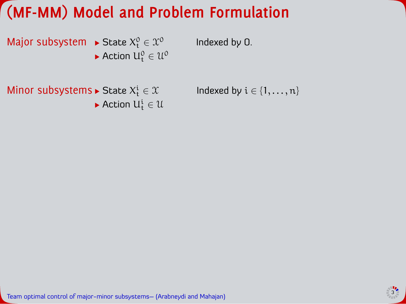Major subsystem  $\blacktriangleright$  State  $X_t^0 \in \mathcal{X}^0$ Action  $U_t^0 \in \mathcal{U}^0$  Indexed by 0.

Minor subsystems  $\blacktriangleright$  State  $X_t^i$ Action  $U_t^i \in \mathcal{U}$  Indexed by  $i \in \{1, \ldots, n\}$ 

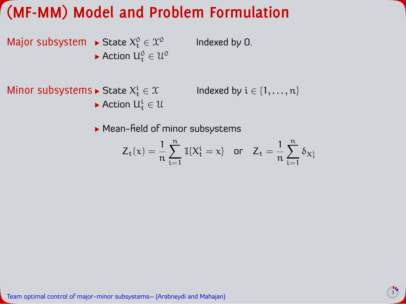Action  $U_t^i \in \mathcal{U}$ 

Major subsystem  $\blacktriangleright$  State  $X_t^0 \in \mathcal{X}^0$ Action  $U_t^0 \in \mathcal{U}^0$  Indexed by 0.

Minor subsystems  $\blacktriangleright$  State  $X_t^i$ 

Indexed by  $i \in \{1, \ldots, n\}$ 

 $\blacktriangleright$  Mean-field of minor subsystems

$$
Z_t(x)=\frac{1}{n}\sum_{i=1}^n\mathbb{1}\{X_t^i=x\}\quad\text{or}\quad Z_t=\frac{1}{n}\sum_{i=1}^n\delta_{X_t^i}
$$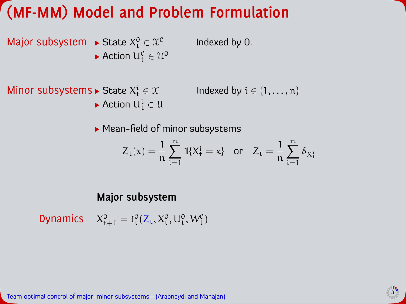Major subsystem  $\blacktriangleright$  State  $X_t^0 \in \mathcal{X}^0$ Action  $U_t^0 \in \mathcal{U}^0$  Indexed by 0.

Minor subsystems  $\blacktriangleright$  State  $X_t^i \in \mathcal{X}$  lndexed by  $i \in \{1, \ldots, n\}$ 

Indeed by 
$$
i \in \{1, \ldots, n\}
$$

 $\blacktriangleright$  Mean-field of minor subsystems

$$
Z_t(x)=\frac{1}{n}\sum_{i=1}^n\mathbb{1}\{X_t^i=x\}\quad\text{or}\quad Z_t=\frac{1}{n}\sum_{i=1}^n\delta_{X_t^i}
$$

#### **Major subsystem**

Action  $U_t^i \in \mathcal{U}$ 

Dynamics  $X_{t+1}^0 = f_t^0(Z_t, X_t^0, U_t^0, W_t^0)$ 

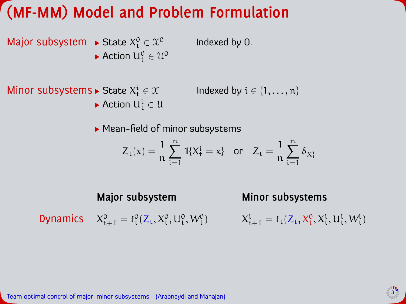Major subsystem  $\blacktriangleright$  State  $X_t^0 \in \mathcal{X}^0$ Action  $U_t^0 \in \mathcal{U}^0$  Indexed by 0.

Minor subsystems  $\blacktriangleright$  State  $X_t^i$ Indexed by  $i \in \{1, \ldots, n\}$ Action  $U_t^i \in \mathcal{U}$ 

• Mean-field of minor subsystems

$$
Z_t(x)=\frac{1}{n}\sum_{i=1}^n\mathbb{1}\{X_t^i=x\}\quad\text{or}\quad Z_t=\frac{1}{n}\sum_{i=1}^n\delta_{X_t^i}
$$

**Major subsystem Minor subsystems**

Dynamics  $X_{t+1}^0 = f_t^0(Z_t, X_t^0, U_t^0, W_t^0)$ 

 $X_{t+1}^i = f_t(Z_t, X_t^0, X_t^i, U_t^i, W_t^i)$ 

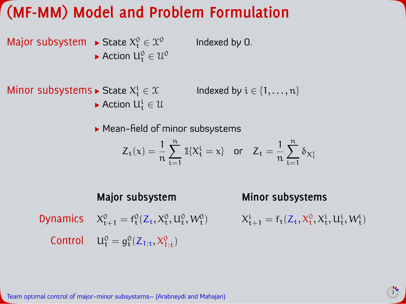Major subsystem  $\blacktriangleright$  State  $X_t^0 \in \mathcal{X}^0$ Action  $U_t^0 \in \mathcal{U}^0$  Indexed by 0.

Minor subsystems  $\blacktriangleright$  State  $X_t^i$ Indexed by  $i \in \{1, \ldots, n\}$ Action  $U_t^i \in \mathcal{U}$ 

• Mean-field of minor subsystems

$$
Z_t(x)=\frac{1}{n}\sum_{i=1}^n\mathbb{1}\{X_t^i=x\}\quad\text{or}\quad Z_t=\frac{1}{n}\sum_{i=1}^n\delta_{X_t^i}
$$

**Major subsystem Minor subsystems** Dynamics  $X_{t+1}^0 = f_t^0(Z_t, X_t^0, U_t^0, W_t^0)$  $X_{t+1}^i = f_t(Z_t, X_t^0, X_t^i, U_t^i, W_t^i)$ Control  $U_t^0 = g_t^0(Z_{1:t}, X_{1:t}^0)$ 

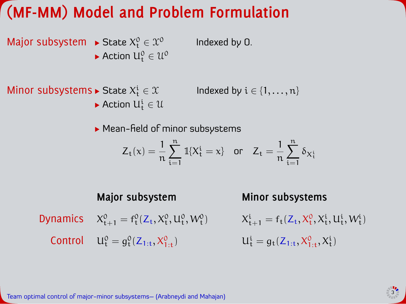Major subsystem  $\blacktriangleright$  State  $X_t^0 \in \mathcal{X}^0$ Action  $U_t^0 \in \mathcal{U}^0$  Indexed by 0.

Minor subsystems  $\blacktriangleright$  State  $X_t^i$ Indexed by  $i \in \{1, \ldots, n\}$ Action  $U_t^i \in \mathcal{U}$ 

• Mean-field of minor subsystems

$$
Z_t(x)=\frac{1}{n}\sum_{i=1}^n\mathbb{1}\{X_t^i=x\}\quad\text{or}\quad Z_t=\frac{1}{n}\sum_{i=1}^n\delta_{X_t^i}
$$

**Major subsystem Minor subsystems** Dynamics  $X_{t+1}^0 = f_t^0(Z_t, X_t^0, U_t^0, W_t^0)$  $X_{t+1}^i = f_t(Z_t, X_t^0, X_t^i, U_t^i, W_t^i)$ Control  $U_t^0 = g_t^0(Z_{1:t}, X_{1:t}^0)$   $U_t^i$  $t_t^i = g_t(Z_{1:t}, X_{1:t}^0, X_t^i)$ 

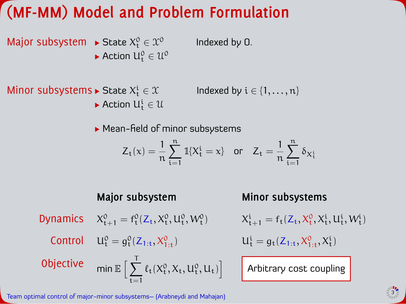Major subsystem  $\blacktriangleright$  State  $X_t^0 \in \mathcal{X}^0$ Action  $U_t^0 \in \mathcal{U}^0$ 

Minor subsystems  $\blacktriangleright$  State  $X_t^i$ Indexed by  $i \in \{1, \ldots, n\}$ Action  $U_t^i \in \mathcal{U}$ 

• Mean-field of minor subsystems

$$
Z_t(x)=\frac{1}{n}\sum_{i=1}^n\mathbb{1}\{X_t^i=x\}\quad\text{or}\quad Z_t=\frac{1}{n}\sum_{i=1}^n\delta_{X_t^i}
$$

Indexed by 0.

**Major subsystem Minor subsystems** Dynamics  $X_{t+1}^0 = f_t^0(Z_t, X_t^0, U_t^0, W_t^0)$  $X_{t+1}^i = f_t(Z_t, X_t^0, X_t^i, U_t^i, W_t^i)$ Control  $U_t^0 = g_t^0(Z_{1:t}, X_{1:t}^0)$   $U_t^i$  $t_t^i = g_t(Z_{1:t}, X_{1:t}^0, X_t^i)$ Objective  $\qquad \mathsf{min} \, \mathbb{E} \, \Big[ \, \sum_{i=1}^N \, \mathsf{min} \, \mathsf{min} \, \mathsf{min} \, \mathsf{max} \, \Big[ \, \sum_{i=1}^N \, \mathsf{min} \, \mathsf{max} \, \Big[ \, \sum_{i=1}^N \, \mathsf{min} \, \mathsf{max} \, \Big[ \, \sum_{i=1}^N \, \mathsf{min} \, \mathsf{max} \, \Big[ \, \sum_{i=1}^N \, \mathsf{max} \, \Big[ \, \sum_{i=1}^N \, \mathsf{max} \$  $\sum$  $t = 1$  $\ell_t(X_t^0, X_t, U_t^0, U_t)$ Arbitrary cost coupling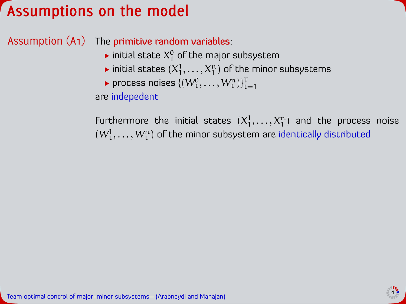## **Assumptions on the model**

Assumption (A1) The primitive random variables:

- initial state  $\mathsf{X}_1^\mathsf{0}$  of the major subsystem
- initial states  $(X^1_1,\ldots,X^n_1)$  of the minor subsystems
- process noises  $\{(W_t^0, \ldots, W_t^n)\}_{t=1}^T$

are indepedent

Furthermore the initial states  $(X_1^1, \ldots, X_1^n)$  and the process noise  $(W_t^1,\ldots,W_t^n)$  of the minor subsystem are identically distributed

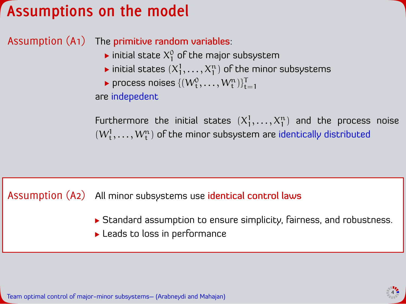## **Assumptions on the model**

Assumption (A1) The primitive random variables:

- initial state  $\mathsf{X}_1^\mathsf{0}$  of the major subsystem
- initial states  $(X^1_1,\ldots,X^n_1)$  of the minor subsystems
- process noises  $\{(W_t^0, \ldots, W_t^n)\}_{t=1}^T$

are indepedent

Furthermore the initial states  $(X_1^1, \ldots, X_1^n)$  and the process noise  $(W_t^1,\ldots,W_t^n)$  of the minor subsystem are identically distributed

Assumption (A2) All minor subsystems use identical control laws

- Standard assumption to ensure simplicity, fairness, and robustness.
- **Leads to loss in performance**

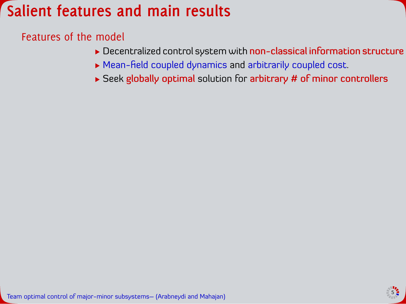## **Salient features and main results**

### Features of the model

- ▶ Decentralized control system with non-classical information structure
- $\blacktriangleright$  Mean-field coupled dynamics and arbitrarily coupled cost.
- $\triangleright$  Seek globally optimal solution for arbitrary # of minor controllers

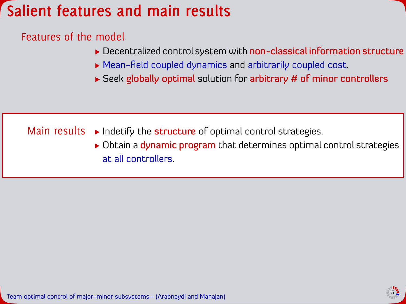## **Salient features and main results**

### Features of the model

- ▶ Decentralized control system with non-classical information structure
- $\triangleright$  Mean-field coupled dynamics and arbitrarily coupled cost.
- $\triangleright$  Seek globally optimal solution for arbitrary # of minor controllers

### Main results  $\rightarrow$  Indetify the structure of optimal control strategies.

 $\triangleright$  Obtain a dynamic program that determines optimal control strategies at all controllers.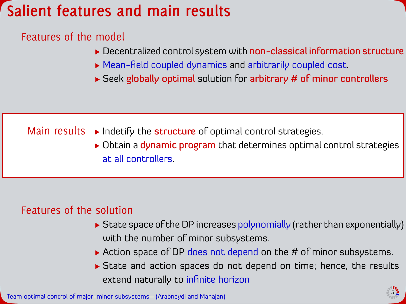# **Salient features and main results**

### Features of the model

- ▶ Decentralized control system with non-classical information structure
- $\blacktriangleright$  Mean-field coupled dynamics and arbitrarily coupled cost.
- $\triangleright$  Seek globally optimal solution for arbitrary # of minor controllers

### Main results  $\rightarrow$  Indetify the structure of optimal control strategies.

 $\triangleright$  Obtain a dynamic program that determines optimal control strategies at all controllers.

### Features of the solution

- State space of the DP increases polynomially (rather than exponentially) with the number of minor subsystems.
- Action space of DP does not depend on the # of minor subsystems.
- State and action spaces do not depend on time; hence, the results extend naturally to infinite horizon

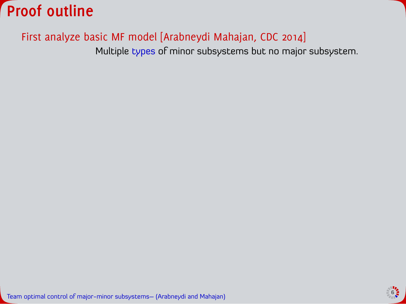

Multiple types of minor subsystems but no major subsystem.

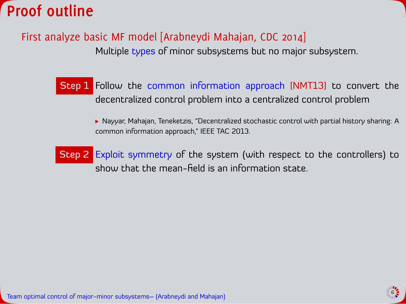

Multiple types of minor subsystems but no major subsystem.

Step 1 Follow the common information approach [NMT13] to convert the decentralized control problem into a centralized control problem

> ▶ Nayyar, Mahajan, Teneketzis, "Decentralized stochastic control with partial history sharing: A common information approach," IEEE TAC 2013.

Step 2 Exploit symmetry of the system (with respect to the controllers) to show that the mean-field is an information state.

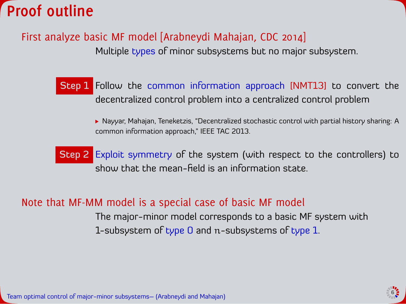

Multiple types of minor subsystems but no major subsystem.

Step 1 Follow the common information approach [NMT13] to convert the decentralized control problem into a centralized control problem

> ▶ Nayyar, Mahajan, Teneketzis, "Decentralized stochastic control with partial history sharing: A common information approach," IEEE TAC 2013.

Step 2 Exploit symmetry of the system (with respect to the controllers) to show that the mean-field is an information state.

### Note that MF-MM model is a special case of basic MF model

The major-minor model corresponds to a basic MF system with 1-subsystem of type 0 and n-subsystems of type 1.

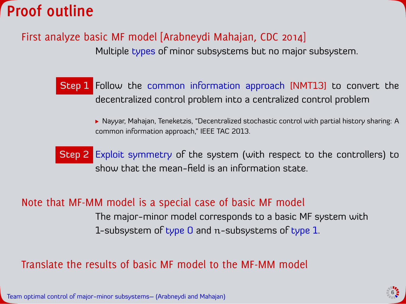

Multiple types of minor subsystems but no major subsystem.

Step 1 Follow the common information approach [NMT13] to convert the decentralized control problem into a centralized control problem

> ▶ Nayyar, Mahajan, Teneketzis, "Decentralized stochastic control with partial history sharing: A common information approach," IEEE TAC 2013.

Step 2 Exploit symmetry of the system (with respect to the controllers) to show that the mean-field is an information state.

#### Note that MF-MM model is a special case of basic MF model

The major-minor model corresponds to a basic MF system with 1-subsystem of type 0 and n-subsystems of type 1.

### Translate the results of basic MF model to the MF-MM model

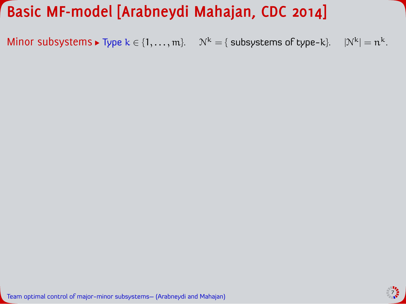Minor subsystems  $\blacktriangleright$  Type  $k \in \{1, ..., m\}$ .  $\mathcal{N}^k = \{$  subsystems of type-k}.  $|\mathcal{N}^k| = n^k$ .

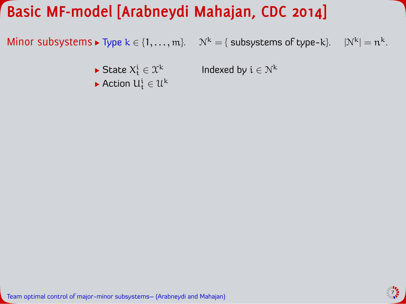Minor subsystems  $\blacktriangleright$  Type  $k \in \{1, \ldots, m\}$ .  $=$   $n^k$ .

State  $X_t^i \in \mathcal{X}^k$ 

Indexed by  $i \in \mathcal{N}^k$ 

Action  $U_t^i \in \mathcal{U}^k$ 

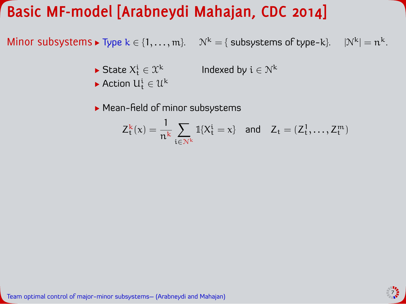Minor subsystems  $\blacktriangleright$  Type  $k \in \{1, \ldots, m\}$ .  $=$   $n^k$ .

- State  $X_t^i \in \mathcal{X}^k$ Indexed by  $i \in \mathcal{N}^k$
- Action  $U_t^i \in \mathcal{U}^k$
- $\blacktriangleright$  Mean-field of minor subsystems

$$
Z_t^k(x) = \frac{1}{n^k} \sum_{\mathfrak{i} \in \mathcal{N}^k} \mathbb{1}\{X_t^{\mathfrak{i}} = x\} \quad \text{and} \quad Z_t = (Z_t^1, \ldots, Z_t^m)
$$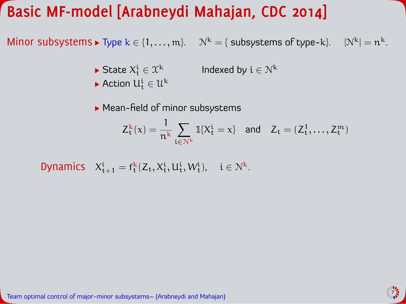Minor subsystems  $\blacktriangleright$  Type  $k \in \{1, ..., m\}$ .  $\mathcal{N}^k = \{$  subsystems of type-k}.  $|\mathcal{N}^k| = n^k$ .

- State  $X_t^i \in \mathcal{X}^k$ Indexed by  $i \in \mathcal{N}^k$
- Action  $U_t^i \in \mathcal{U}^k$
- $\blacktriangleright$  Mean-field of minor subsystems

$$
Z_t^k(x) = \frac{1}{n^k} \sum_{\mathfrak{i} \in \mathcal{N}^k} \mathbb{1}\{X_t^{\mathfrak{i}} = x\} \quad \text{and} \quad Z_t = (Z_t^1, \ldots, Z_t^m)
$$

Dynamics  $X_{t+1}^i = f_t^k(Z_t, X_t^i, U_t^i, W_t^i)$ ,  $i \in \mathbb{N}^k$ .

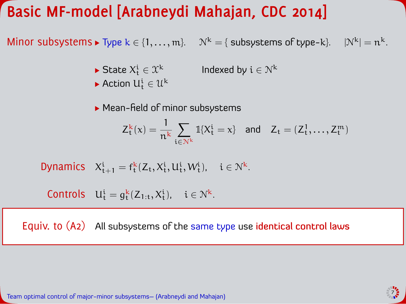Minor subsystems  $\blacktriangleright$  Type  $k \in \{1, ..., m\}$ .  $\mathcal{N}^k = \{$  subsystems of type-k}.  $|\mathcal{N}^k| = n^k$ .

- State  $X_t^i \in \mathcal{X}^k$ Indexed by  $i \in \mathcal{N}^k$
- Action  $U_t^i \in \mathcal{U}^k$
- $\blacktriangleright$  Mean-field of minor subsystems

$$
Z_t^k(x)=\frac{1}{n^k}\sum_{\mathfrak{t}\in\mathcal{N}^k}\mathbb{1}\{X_t^{\mathfrak{i}}=x\}\quad\text{and}\quad Z_{\mathfrak{t}}=(Z_t^1,\ldots,Z_t^m)
$$

$$
\text{Dynamics} \quad X^i_{t+1} = f^k_t(Z_t,X^i_t,U^i_t,W^i_t), \quad i \in \mathbb{N}^k.
$$

$$
\text{Controls} \quad U^i_t = g^k_t(Z_{1:t}, X^i_t), \quad i \in \mathcal{N}^k.
$$

Equiv. to (A2) All subsystems of the same type use identical control laws

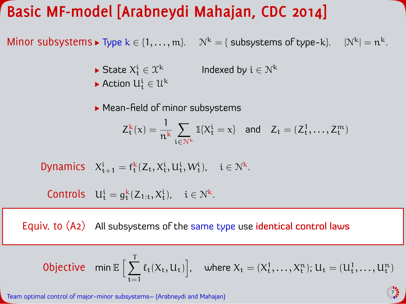Minor subsystems  $\blacktriangleright$  Type  $k \in \{1, ..., m\}$ .  $\mathcal{N}^k = \{$  subsystems of type-k}.  $|\mathcal{N}^k| = n^k$ .

- State  $X_t^i \in \mathcal{X}^k$ Indexed by  $i \in \mathcal{N}^k$
- Action  $U_t^i \in \mathcal{U}^k$
- $\blacktriangleright$  Mean-field of minor subsystems

$$
Z_t^k(x)=\frac{1}{n^k}\sum_{\mathfrak{t}\in\mathcal{N}^k}\mathbb{1}\{X_t^{\mathfrak{i}}=x\}\quad\text{and}\quad Z_{\mathfrak{t}}=(Z_t^1,\ldots,Z_t^m)
$$

$$
\text{Dynamics} \quad X^i_{t+1} = f^k_t(Z_t,X^i_t,U^i_t,W^i_t), \quad i \in \mathbb{N}^k.
$$

$$
\text{Controls}\quad U^i_t=g^k_t(Z_{1:t},X^i_t),\quad i\in\mathcal{N}^k.
$$

Equiv. to (A2) All subsystems of the same type use identical control laws

$$
\text{Objective} \quad \text{min}\ \mathbb{E}\ \Big[\sum_{t=1}^T \ell_t(X_t, U_t)\Big], \quad \text{where}\ X_t=(X^1_t, \dots, X^n_t); \ U_t=(U^1_t, \dots, U^n_t)
$$

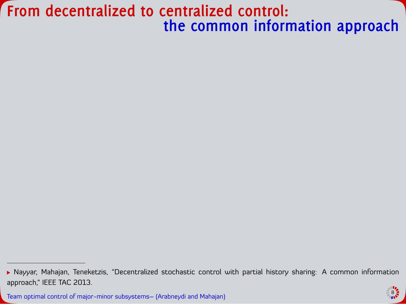### **From decentralized to centralized control: the common information approach**



<sup>▶</sup> Nayyar, Mahajan, Teneketzis, "Decentralized stochastic control with partial history sharing: A common information approach," IEEE TAC 2013.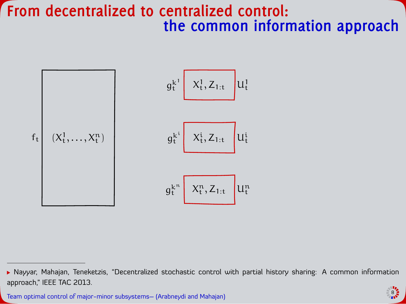### **From decentralized to centralized control: the common information approach**

$$
f_t\left[\begin{array}{c}g_t^{k^1}\begin{array}{c}X_t^1,Z_{1:t}\end{array}\end{array}\right]U_t^1\\
$$

$$
g_t^{k^i}\begin{array}{c}X_t^i,Z_{1:t}\end{array}\Big]U_t^i\\
$$

$$
g_t^{k^n}\begin{array}{c}X_t^n,Z_{1:t}\end{array}\Big]U_t^n\\
$$



<sup>▶</sup> Nayyar, Mahajan, Teneketzis, "Decentralized stochastic control with partial history sharing: A common information approach," IEEE TAC 2013.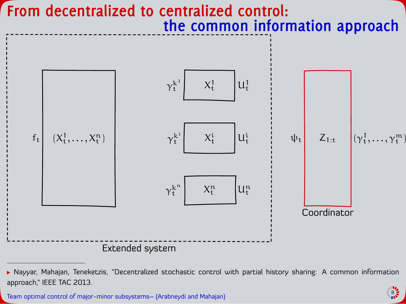

<sup>▶</sup> Nayyar, Mahajan, Teneketzis, "Decentralized stochastic control with partial history sharing: A common information approach," IEEE TAC 2013.



Team optimal control of major-minor subsystems– (Arabneydi and Mahajan) <sup>8</sup>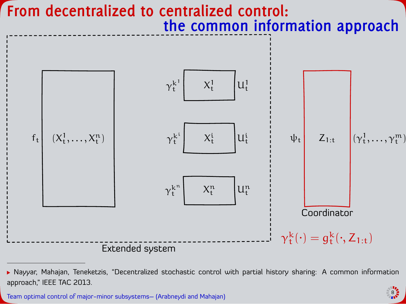

<sup>▶</sup> Nayyar, Mahajan, Teneketzis, "Decentralized stochastic control with partial history sharing: A common information approach," IEEE TAC 2013.



Team optimal control of major-minor subsystems– (Arabneydi and Mahajan) <sup>8</sup>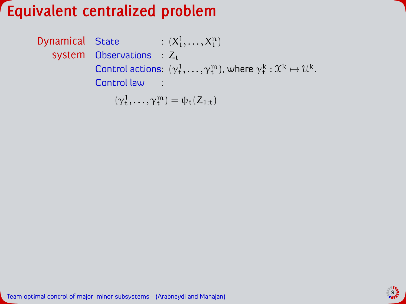**Dynamical** State :  $(X_t^1, \ldots, X_t^n)$ system Observations :  $Z_t$ Control actions:  $(\gamma^1_t, ..., \gamma^m_t)$ , where  $\gamma^k_t : \mathfrak{X}^k \mapsto \mathfrak{U}^k$ . Control law :

 $(\gamma_t^1, \ldots, \gamma_t^m) = \psi_t(Z_{1:t})$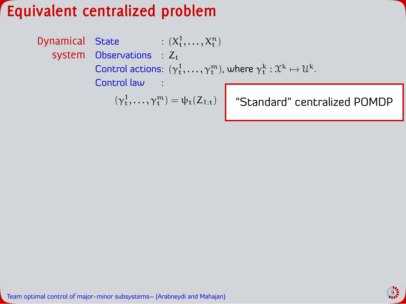**Dynamical** State :  $(X_t^1, \ldots, X_t^n)$ system Observations :  $Z_t$ Control actions:  $(\gamma^1_t, ..., \gamma^m_t)$ , where  $\gamma^k_t : \mathfrak{X}^k \mapsto \mathfrak{U}^k$ . Control law :

 $(\gamma_t^1,\ldots,\gamma_t^m)=\psi_t(Z_{1:t})$  "Standard" centralized POMDP

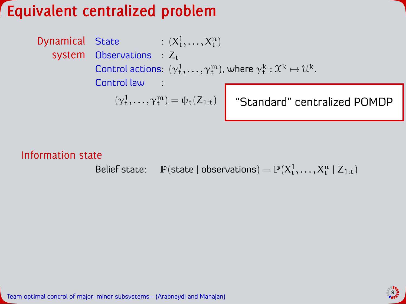**Dynamical** State :  $(X_t^1, \ldots, X_t^n)$ system Observations :  $Z_t$ Control actions:  $(\gamma^1_t, ..., \gamma^m_t)$ , where  $\gamma^k_t : \mathfrak{X}^k \mapsto \mathfrak{U}^k$ . Control law :

$$
(\gamma_t^1,\ldots,\gamma_t^m)=\psi_t(Z_{1:t})
$$

"Standard" centralized POMDP

#### Information state

Belief state:  $\mathbb{P}(\text{state} \mid \text{observations}) = \mathbb{P}(X_t^1, \dots, X_t^n \mid Z_{1:t})$ 

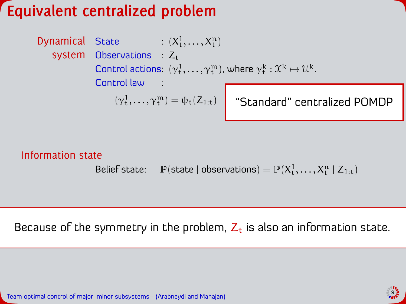**Dynamical** State :  $(X_t^1, \ldots, X_t^n)$ system Observations :  $Z_t$ Control actions:  $(\gamma^1_t, ..., \gamma^m_t)$ , where  $\gamma^k_t : \mathfrak{X}^k \mapsto \mathfrak{U}^k$ . Control law :

 $(\gamma_t^1,\ldots,\gamma_t^m)=\psi_t(Z_{1:t})$  "Standard" centralized POMDP

#### Information state

Belief state:  $\mathbb{P}(\text{state} \mid \text{observations}) = \mathbb{P}(X_t^1, \dots, X_t^n \mid Z_{1:t})$ 

Because of the symmetry in the problem,  $Z_t$  is also an information state.

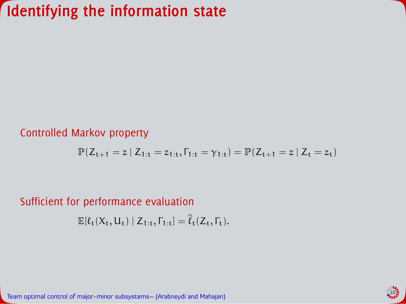#### Controlled Markov property

$$
\mathbb{P}(Z_{t+1} = z \:|\: Z_{1:t} = z_{1:t}, \Gamma_{1:t} = \gamma_{1:t}) = \mathbb{P}(Z_{t+1} = z \:|\: Z_t = z_t)
$$

#### Sufficient for performance evaluation

 $\mathbb{E}[\ell_t(X_t, U_t) | Z_{1:t}, \Gamma_{1:t}] = \hat{\ell}_t(Z_t, \Gamma_t).$ 

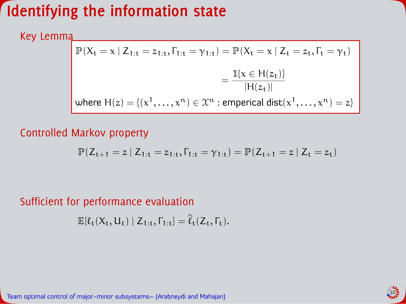Key Lemma

$$
\begin{aligned} \mathbb{P}(X_t = x \mid Z_{1:t} = z_{1:t}, \Gamma_{1:t} = \gamma_{1:t}) &= \mathbb{P}(X_t = x \mid Z_t = z_t, \Gamma_t = \gamma_t) \\ &= \frac{\mathbb{1}\{x \in H(z_t)\}}{|H(z_t)|} \\ \text{where } H(z) &= \{ (x^1, \dots, x^n) \in \mathcal{X}^n \text{ :}{\sf empirical}\ \text{dist}(x^1, \dots, x^n) = z \} \end{aligned}
$$

#### Controlled Markov property

$$
\mathbb{P}(Z_{t+1} = z \:|\: Z_{1:t} = z_{1:t}, \Gamma_{1:t} = \gamma_{1:t}) = \mathbb{P}(Z_{t+1} = z \:|\: Z_t = z_t)
$$

Sufficient for performance evaluation

 $\mathbb{E}[\ell_{+}(X_{t}, U_{t}) | Z_{1:t}, \Gamma_{1:t}] = \hat{\ell}_{+}(Z_{t}, \Gamma_{t}).$ 

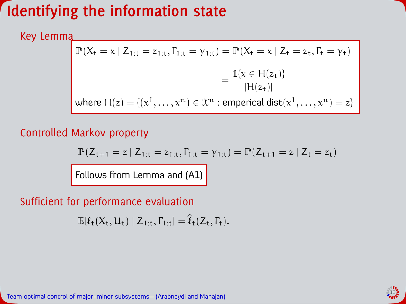Key Lemma

$$
\begin{aligned} \mathbb{P}(X_t = x \mid Z_{1:t} = z_{1:t}, \Gamma_{1:t} = \gamma_{1:t}) &= \mathbb{P}(X_t = x \mid Z_t = z_t, \Gamma_t = \gamma_t) \\ &= \frac{\mathbb{1}\{x \in H(z_t)\}}{|H(z_t)|} \\ \text{where } H(z) &= \{ (x^1, \dots, x^n) \in \mathcal{X}^n \text{ :}{\sf empirical}\ \text{dist}(x^1, \dots, x^n) = z \} \end{aligned}
$$

#### Controlled Markov property

$$
\mathbb{P}(Z_{t+1} = z \mid Z_{1:t} = z_{1:t}, \Gamma_{1:t} = \gamma_{1:t}) = \mathbb{P}(Z_{t+1} = z \mid Z_t = z_t)
$$

Follows from Lemma and (A1)

### Sufficient for performance evaluation

 $\mathbb{E}[\ell_{+}(X_{t}, U_{t}) | Z_{1:t}, \Gamma_{1:t}] = \hat{\ell}_{+}(Z_{t}, \Gamma_{t}).$ 

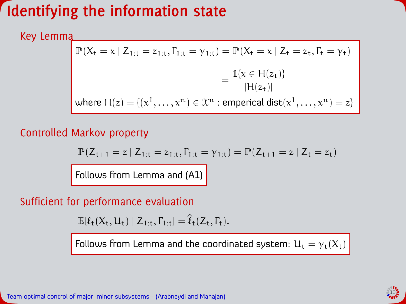Key Lemma

$$
\begin{aligned} \mathbb{P}(X_t = x \mid Z_{1:t} = z_{1:t}, \Gamma_{1:t} = \gamma_{1:t}) &= \mathbb{P}(X_t = x \mid Z_t = z_t, \Gamma_t = \gamma_t) \\ &= \frac{\mathbb{1}\{x \in H(z_t)\}}{|H(z_t)|} \\ \text{where } H(z) &= \{(x^1, \dots, x^n) \in \mathcal{X}^n \text{ :} \text{emperial dist}(x^1, \dots, x^n) = z\} \end{aligned}
$$

#### Controlled Markov property

$$
\mathbb{P}(Z_{t+1} = z \:|\: Z_{1:t} = z_{1:t}, \Gamma_{1:t} = \gamma_{1:t}) = \mathbb{P}(Z_{t+1} = z \:|\: Z_t = z_t)
$$

Follows from Lemma and (A1)

#### Sufficient for performance evaluation

 $\mathbb{E}[\ell_t(X_t, U_t) | Z_{1:t}, \Gamma_{1:t}] = \hat{\ell}_t(Z_t, \Gamma_t).$ 

Follows from Lemma and the coordinated system:  $U_t = \gamma_t(X_t)$ 

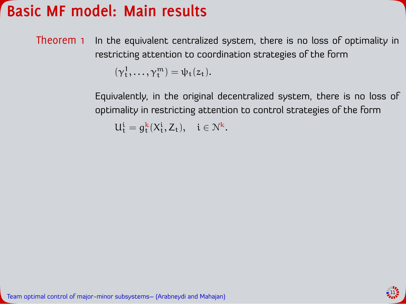### **Basic MF model: Main results**

Theorem 1 In the equivalent centralized system, there is no loss of optimality in restricting attention to coordination strategies of the form

 $(\gamma_t^1, \ldots, \gamma_t^m) = \psi_t(z_t).$ 

Equivalently, in the original decentralized system, there is no loss of optimality in restricting attention to control strategies of the form

 $U_t^i = g_t^k(X_t^i, Z_t), \quad i \in \mathbb{N}^k.$ 

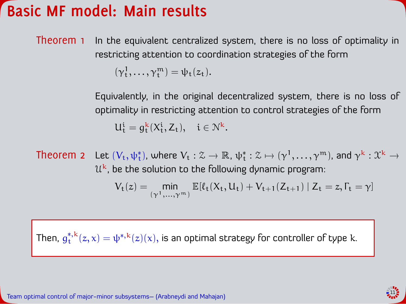### **Basic MF model: Main results**

Theorem 1 In the equivalent centralized system, there is no loss of optimality in restricting attention to coordination strategies of the form

 $(\gamma_t^1, \ldots, \gamma_t^m) = \psi_t(z_t).$ 

Equivalently, in the original decentralized system, there is no loss of optimality in restricting attention to control strategies of the form  $U_t^i = g_t^k(X_t^i, Z_t), \quad i \in \mathbb{N}^k.$ 

Theorem 2 Let  $(V_t,\psi_t^*)$ , where  $V_t:\mathcal{Z}\to\mathbb{R}$ ,  $\psi_t^*:\mathcal{Z}\mapsto (\gamma^1,\ldots,\gamma^m)$ , and  $\gamma^k:\mathcal{X}^k\to$  $\mathfrak{U}^{\mathsf{k}}$ , be the solution to the following dynamic program:  $V_t(z) = \min_{(\gamma^1,...,\gamma^m)} \mathbb{E}[l_t(X_t, U_t) + V_{t+1}(Z_{t+1}) | Z_t = z, \Gamma_t = \gamma]$ 

Then,  $g^{*,{\rm k}}_{\rm t}$  $\mathfrak{t}^{*,\mathsf{k}}_{{\mathsf{t}}}(\mathsf{z},\mathsf{x}) = \psi^{*,\mathsf{k}}(\mathsf{z})(\mathsf{x}),$  is an optimal strategy for controller of type  $\mathsf{k}.$ 

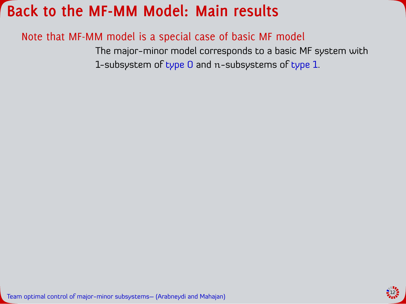### Note that MF-MM model is a special case of basic MF model

The major-minor model corresponds to a basic MF system with 1-subsystem of type 0 and n-subsystems of type 1.

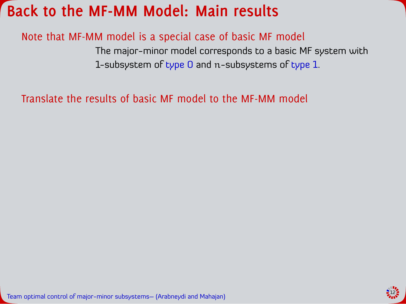### Note that MF-MM model is a special case of basic MF model

The major-minor model corresponds to a basic MF system with 1-subsystem of type 0 and n-subsystems of type 1.

Translate the results of basic MF model to the MF-MM model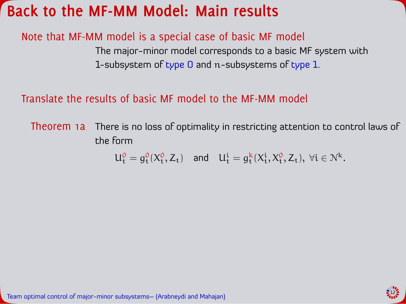### Note that MF-MM model is a special case of basic MF model

The major-minor model corresponds to a basic MF system with 1-subsystem of type 0 and n-subsystems of type 1.

#### Translate the results of basic MF model to the MF-MM model

Theorem 1a There is no loss of optimality in restricting attention to control laws of the form

 $U_t^0 = g_t^0(X_t^0, Z_t)$  and  $U_t^i = g_t^k(X_t^i, X_t^0, Z_t), \forall i \in \mathbb{N}^k$ .

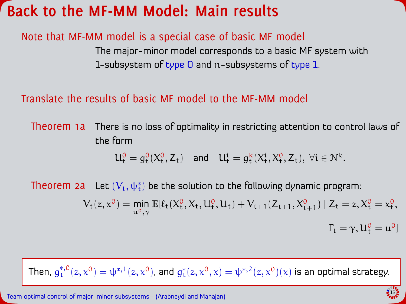### Note that MF-MM model is a special case of basic MF model

The major-minor model corresponds to a basic MF system with 1-subsystem of type 0 and n-subsystems of type 1.

#### Translate the results of basic MF model to the MF-MM model

Theorem 1a There is no loss of optimality in restricting attention to control laws of the form

$$
U^0_t=g^0_t(X^0_t,Z_t)\quad\text{and}\quad U^i_t=g^k_t(X^i_t,X^0_t,Z_t),\;\forall i\in\mathcal{N}^k.
$$

Theorem 2 $\mathbf a$  . Let  $(V_t, \psi_t^*)$  be the solution to the following dynamic program:

$$
V_t(z,x^0) = \min_{u^0,\gamma} \mathbb{E}[\ell_t(X_t^0,X_t,U_t^0,U_t) + V_{t+1}(Z_{t+1},X_{t+1}^0) \mid Z_t = z, X_t^0 = x_t^0,\\ \Gamma_t = \gamma, U_t^0 = u^0]
$$

Then,  $g_{\rm t}^{*,0}$  $\psi_t^{*,0}(z,x^0)=\psi^{*,1}(z,x^0)$ , and  $g_t^*(z,x^0,x)=\psi^{*,2}(z,x^0)(x)$  is an optimal strategy.



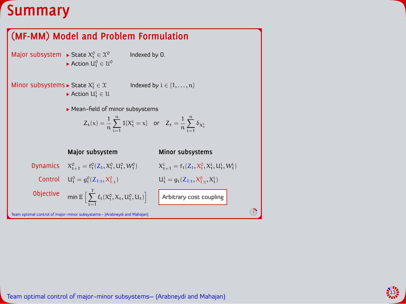### **Summary**

#### **(MF-MM) Model and Problem Formulation**

Major subsystem  $\blacktriangleright$  State  $X_t^0 \in \mathcal{X}^0$ Action  $U_t^0 \in \mathcal{U}^0$  Indexed by 0.

Minor subsystems  $\blacktriangleright$  State  $X_t^i$ 

Indexed by  $i \in \{1, \ldots, n\}$ 

Action  $U_t^i \in \mathcal{U}$ 

 $\blacktriangleright$  Mean-field of minor subsystems

$$
Z_t(x)=\frac{1}{n}\sum_{i=1}^n\mathbb{1}\{X^i_t=x\}\quad\text{or}\quad Z_t=\frac{1}{n}\sum_{i=1}^n\delta_{X^i_t}
$$

Team optimal control of major-minor subsystems– (Arabneydi and Mahajan) <sup>3</sup> **Major subsystem Minor subsystems** Dynamics  $X_{t+1}^0 = f_t^0(Z_t, X_t^0, U_t^0, W_t^0)$   $X_{t+1}^i = f_t(Z_t, X_t^0, X_t^i, U_t^i, W_t^i)$ Control  $U_t^0 = g_t^0(Z_{1:t}, X_t^0)$  $u_t^i = g_t(Z_{1:t}, X_{1:t}^0, X_t^i)$ Objective  $\qquad \mathsf{min} \, \mathbb{E} \, \Big[ \, \sum_{i=1}^N \, \mathsf{min} \, \mathsf{min} \, \mathsf{min} \, \mathsf{max} \, \Big[ \, \sum_{i=1}^N \, \mathsf{min} \, \mathsf{min} \, \mathsf{min} \, \mathsf{min} \, \mathsf{min} \, \mathsf{min} \, \mathsf{min} \, \mathsf{min} \, \mathsf{min} \, \mathsf{min} \, \mathsf{min} \, \mathsf{min} \, \mathsf{min} \, \mathsf{min} \, \mathsf{min} \, \mathsf{min} \$  $\sum_{t=1} \ell_t(X_t^0, X_t, U_t^0, U_t)$ Arbitrary cost coupling

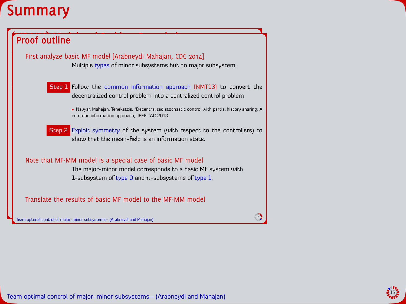



Team optimal control of major-minor subsystems– (Arabneydi and Mahajan) <sup>6</sup>

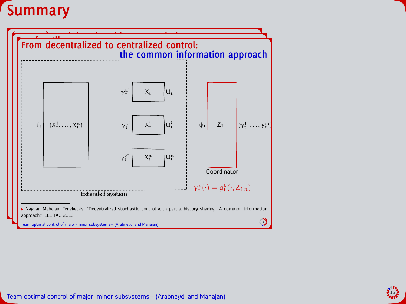



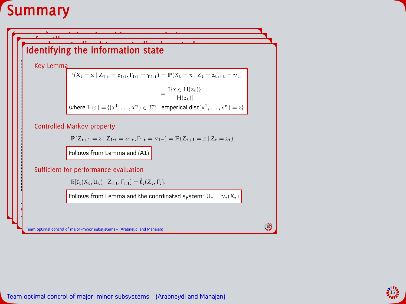### **Summary**

#### $\left| \ \right|$  explicitly state intermation state **Proof outline**  $\frac{1}{2}$  and  $\frac{1}{2}$  model  $\frac{1}{2}$  model  $\frac{1}{2}$ **From decentral interesting to control:**<br>Identifying the information state *Identifying the information state*

**(MF-MM) Model and Problem Formulation**

Key Lemma

approach,Ć IEEE TAC 2013.

$$
\mathbb{P}(X_t = x | Z_{1:t} = z_{1:t}, \Gamma_{1:t} = \gamma_{1:t}) = \mathbb{P}(X_t = x | Z_t = z_t, \Gamma_t = \gamma_t)
$$
  
= 
$$
\frac{\mathbb{1}\{x \in H(z_t)\}}{|H(z_t)|}
$$
  
where  $H(z) = \{(x^1, ..., x^n) \in \mathcal{X}^n : \text{emperial dist}(x^1, ..., x^n) = z\}$ 

Multiple types of minor subsystems but no major subsystem.

### ישוב ביותר ביותר ביותר ביותר ביותר ביותר ביותר ביותר ביותר ביותר ביותר ביותר ביותר ביותר ביותר ביותר ביותר בי<br>לא על האישי האישי האישי האישי האישי האישי האישי האישי האישי האישי האישי האישי האישי האישי האישי האישי האישי הא<br>

$$
\mathbb{P}(Z_{t+1}=z\ |\ Z_{1:t}=z_{1:t},\Gamma_{1:t}=\gamma_{1:t})=\mathbb{P}(Z_{t+1}=z\ |\ Z_{t}=z_{t})
$$

ѱ

**Follows from Lemma and (A1)** Note that MF-MM model is a special case of basic MF model

#### $\mathsf{Sufficient}$  for performance evaluation

 $\mathbb{E}[\ell_t(X_t, U_t) | Z_{1:t}, \Gamma_{1:t}] = \hat{\ell}_t(Z_t, \Gamma_t).$  $\mathbf{L} = \mathbf{L} \cdot \mathbf{L} \cdot \mathbf{L}$ 

ѱ

common information approach, écritos approximation approximation approximation approximation approximation app

Team optimal control of major-minor subsystems– (Arabneydi and Mahajan) <sup>3</sup>

Team optimal control of major-minor subsystems– (Arabneydi and Mahajan) <sup>6</sup>

**Explored Follows Fi** Follows from Lemma and the coordinated system:  $U_t = \gamma_t(X_t)$ 

γ

 $\mathbb{R}^n \times \mathbb{R}^n$ 

 $\overline{\phantom{a}}$ 

Team optimal control of major-minor subsystems– (Arabneydi and Mahajan) <sup>8</sup> Team optimal control of major-minor subsystems– (Arabneydi and Mahajan) <sup>10</sup>

 $\overline{\phantom{a}}$ 

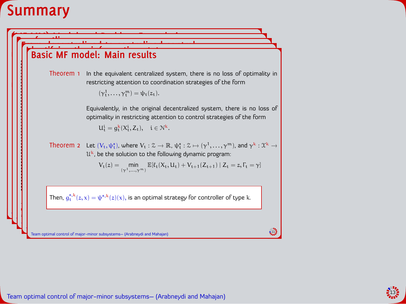### **Summary**



رواني<br>Team optimal control of major-minor subsystems– (Arabneydi and Mahajan)<br>التي تعريف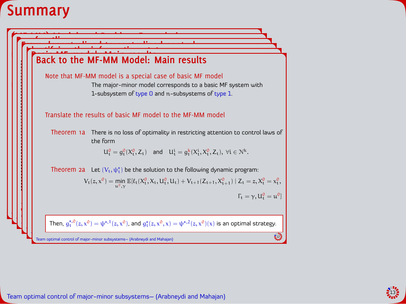



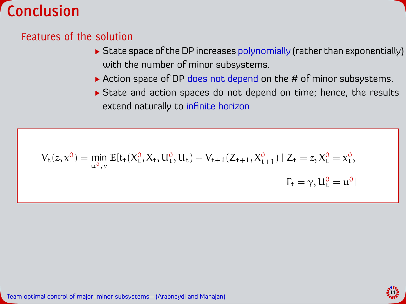

### Features of the solution

- $\triangleright$  State space of the DP increases polynomially (rather than exponentially) with the number of minor subsystems.
- Action space of DP does not depend on the  $#$  of minor subsystems.
- State and action spaces do not depend on time; hence, the results extend naturally to infinite horizon

$$
V_t(z,x^0) = \min_{u^0,\gamma} \mathbb{E}[\ell_t(X^0_t,X_t,U^0_t,U_t) + V_{t+1}(Z_{t+1},X^0_{t+1}) \mid Z_t = z, X^0_t = x^0_t,\\ \Gamma_t = \gamma, U^0_t = u^0]
$$

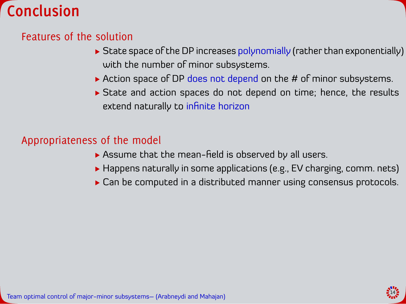

### Features of the solution

- $\triangleright$  State space of the DP increases polynomially (rather than exponentially) with the number of minor subsystems.
- $\triangleright$  Action space of DP does not depend on the # of minor subsystems.
- State and action spaces do not depend on time; hence, the results extend naturally to infinite horizon

#### Appropriateness of the model

- $\triangleright$  Assume that the mean-field is observed by all users.
- ▶ Happens naturally in some applications (e.g., EV charging, comm. nets)
- Can be computed in a distributed manner using consensus protocols.